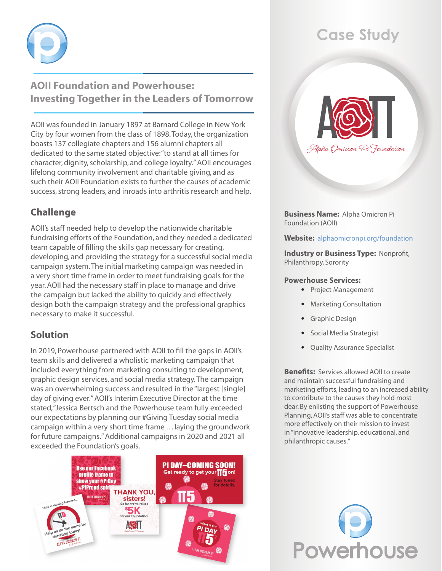

## **AOII Foundation and Powerhouse: Investing Together in the Leaders of Tomorrow**

AOII was founded in January 1897 at Barnard College in New York City by four women from the class of 1898. Today, the organization boasts 137 collegiate chapters and 156 alumni chapters all dedicated to the same stated objective: "to stand at all times for character, dignity, scholarship, and college loyalty." AOII encourages lifelong community involvement and charitable giving, and as such their AOII Foundation exists to further the causes of academic success, strong leaders, and inroads into arthritis research and help.

## **Challenge**

AOII's staff needed help to develop the nationwide charitable fundraising efforts of the Foundation, and they needed a dedicated team capable of filling the skills gap necessary for creating, developing, and providing the strategy for a successful social media campaign system. The initial marketing campaign was needed in a very short time frame in order to meet fundraising goals for the year. AOII had the necessary staff in place to manage and drive the campaign but lacked the ability to quickly and effectively design both the campaign strategy and the professional graphics necessary to make it successful.

## **Solution**

In 2019, Powerhouse partnered with AOII to fill the gaps in AOII's team skills and delivered a wholistic marketing campaign that included everything from marketing consulting to development, graphic design services, and social media strategy. The campaign was an overwhelming success and resulted in the "largest [single] day of giving ever." AOII's Interim Executive Director at the time stated, "Jessica Bertsch and the Powerhouse team fully exceeded our expectations by planning our #Giving Tuesday social media campaign within a very short time frame . . . laying the groundwork for future campaigns." Additional campaigns in 2020 and 2021 all exceeded the Foundation's goals.



# **Case Study**



**Business Name:** Alpha Omicron Pi Foundation (AOII)

### **Website:** [alphaomicronpi.org/foundation](http://alphaomicronpi.org/foundation)

**Industry or Business Type:** Nonprofit, Philanthropy, Sorority

#### **Powerhouse Services:**

- Project Management
- Marketing Consultation
- Graphic Design
- Social Media Strategist
- Quality Assurance Specialist

**Benefits:** Services allowed AOII to create and maintain successful fundraising and marketing efforts, leading to an increased ability to contribute to the causes they hold most dear. By enlisting the support of Powerhouse Planning, AOII's staff was able to concentrate more effectively on their mission to invest in "innovative leadership, educational, and philanthropic causes."